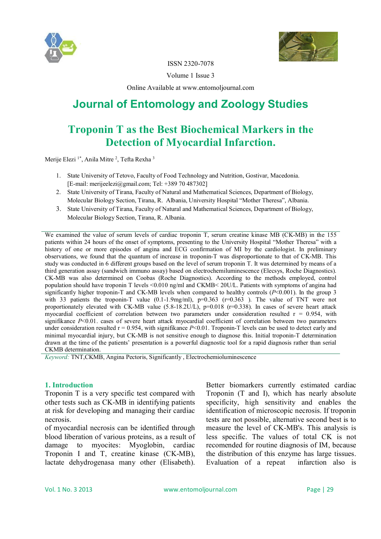



ISSN 2320-7078

Volume 1 Issue 3

Online Available at www.entomoljournal.com

# **Journal of Entomology and Zoology Studies**

## **Troponin T as the Best Biochemical Markers in the Detection of Myocardial Infarction.**

Merije Elezi<sup>1\*</sup>, Anila Mitre<sup>2</sup>, Tefta Rexha<sup>3</sup>

- 1. State University of Tetovo, Faculty of Food Technology and Nutrition, Gostivar, Macedonia. [E-mail: merijeelezi@gmail.com; Tel: +389 70 487302]
- 2. State University of Tirana, Faculty of Natural and Mathematical Sciences, Department of Biology, Molecular Biology Section, Tirana, R. Albania, University Hospital "Mother Theresa", Albania.
- 3. State University of Tirana, Faculty of Natural and Mathematical Sciences, Department of Biology, Molecular Biology Section, Tirana, R. Albania.

We examined the value of serum levels of cardiac troponin T, serum creatine kinase MB (CK-MB) in the 155 patients within 24 hours of the onset of symptoms, presenting to the University Hospital "Mother Theresa" with a history of one or more episodes of angina and ECG confirmation of MI by the cardiologist. In preliminary observations, we found that the quantum of increase in troponin-T was disproportionate to that of CK-MB. This study was conducted in 6 different groups based on the level of serum troponin T. It was determined by means of a third generation assay (sandwich immuno assay) based on electrochemiluminescence (Elecsys, Roche Diagnostics). CK-MB was also determined on Coobas (Roche Diagnostics). According to the methods employed, control population should have troponin T levels <0.010 ng/ml and CKMB< 20U/L. Patients with symptoms of angina had significantly higher troponin-T and CK-MB levels when compared to healthy controls (*P*<0.001). In the group 3 with 33 patients the troponin-T value  $(0.1-1.9$ mg/ml),  $p=0.363$  ( $r=0.363$ ). The value of TNT were not proportionately elevated with CK-MB value  $(5.8-18.2U/L)$ , p=0.018 (r=0.338). In cases of severe heart attack myocardial coefficient of correlation between two parameters under consideration resulted  $r = 0.954$ , with signifikance *P*<0.01. cases of severe heart attack myocardial coefficient of correlation between two parameters under consideration resulted  $r = 0.954$ , with signifikance  $P < 0.01$ . Troponin-T levels can be used to detect early and minimal myocardial injury, but CK-MB is not sensitive enough to diagnose this. Initial troponin-T determination drawn at the time of the patients' presentation is a powerful diagnostic tool for a rapid diagnosis rather than serial CKMB determination.

*Keyword:* TNT,CKMB, Angina Pectoris, Significantly , Electrochemioluminescence

#### **1. Introduction**

Troponin T is a very specific test compared with other tests such as CK-MB in identifying patients at risk for developing and managing their cardiac necrosis.

of myocardial necrosis can be identified through blood liberation of various proteins, as a result of damage to myocites: Myoglobin, cardiac Troponin I and T, creatine kinase (CK-MB), lactate dehydrogenasa many other (Elisabeth).

Better biomarkers currently estimated cardiac Troponin (T and I), which has nearly absolute specificity, high sensitivity and enables the identification of microscopic necrosis. If troponin tests are not possible, alternative second best is to measure the level of CK-MB's. This analysis is less specific. The values of total CK is not recomended for routine diagnosis of IM, because the distribution of this enzyme has large tissues. Evaluation of a repeat infarction also is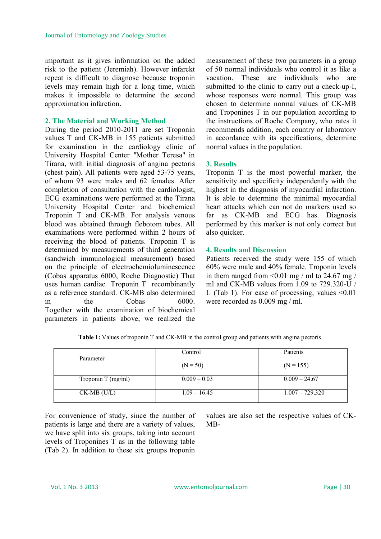important as it gives information on the added risk to the patient (Jeremiah). However infarckt repeat is difficult to diagnose because troponin levels may remain high for a long time, which makes it impossible to determine the second approximation infarction.

#### **2. The Material and Working Method**

During the period 2010-2011 are set Troponin values T and CK-MB in 155 patients submitted for examination in the cardiology clinic of University Hospital Center "Mother Teresa" in Tirana, with initial diagnosis of angina pectoris (chest pain). All patients were aged 53-75 years, of whom 93 were males and 62 females. After completion of consultation with the cardiologist, ECG examinations were performed at the Tirana University Hospital Center and biochemical Troponin T and CK-MB. For analysis venous blood was obtained through flebotom tubes. All examinations were performed within 2 hours of receiving the blood of patients. Troponin T is determined by measurements of third generation (sandwich immunological measurement) based on the principle of electrochemioluminescence (Cobas apparatus 6000, Roche Diagnostic) That uses human cardiac Troponin T recombinantly as a reference standard. CK-MB also determined in the Cobas 6000. Together with the examination of biochemical parameters in patients above, we realized the

measurement of these two parameters in a group of 50 normal individuals who control it as like a vacation. These are individuals who are submitted to the clinic to carry out a check-up-I, whose responses were normal. This group was chosen to determine normal values of CK-MB and Troponines T in our population according to the instructions of Roche Company, who rates it recommends addition, each country or laboratory in accordance with its specifications, determine normal values in the population.

#### **3. Results**

Troponin T is the most powerful marker, the sensitivity and specificity independently with the highest in the diagnosis of myocardial infarction. It is able to determine the minimal myocardial heart attacks which can not do markers used so far as CK-MB and ECG has. Diagnosis performed by this marker is not only correct but also quicker.

### **4. Results and Discussion**

Patients received the study were 155 of which 60% were male and 40% female. Troponin levels in them ranged from  $\leq 0.01$  mg / ml to 24.67 mg / ml and CK-MB values from 1.09 to 729.320-U / L (Tab 1). For ease of processing, values  $\leq 0.01$ were recorded as 0.009 mg / ml.

| Parameter            | Control        | Patients          |  |
|----------------------|----------------|-------------------|--|
|                      | $(N = 50)$     | $(N = 155)$       |  |
| Troponin T $(mg/ml)$ | $0.009 - 0.03$ | $0.009 - 24.67$   |  |
| $CK-MB$ (U/L)        | $1.09 - 16.45$ | $1.007 - 729.320$ |  |

**Table 1:** Values of troponin T and CK-MB in the control group and patients with angina pectoris.

For convenience of study, since the number of patients is large and there are a variety of values, we have split into six groups, taking into account levels of Troponines T as in the following table (Tab 2). In addition to these six groups troponin

values are also set the respective values of CK-MB-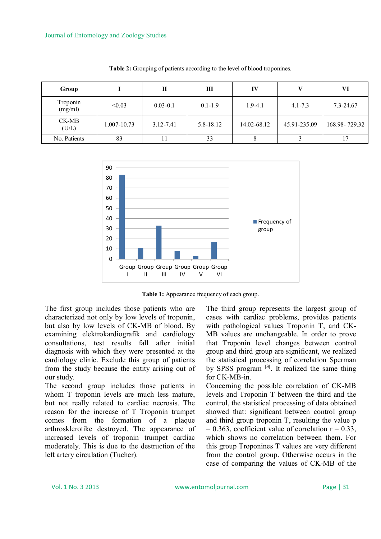| Group               |             | П            | Ш           | IV          |              | VI            |
|---------------------|-------------|--------------|-------------|-------------|--------------|---------------|
| Troponin<br>(mg/ml) | < 0.03      | $0.03 - 0.1$ | $0.1 - 1.9$ | $1.9 - 4.1$ | $4.1 - 7.3$  | 7.3-24.67     |
| CK-MB<br>(U/L)      | 1.007-10.73 | 3.12-7.41    | 5.8-18.12   | 14.02-68.12 | 45.91-235.09 | 168.98-729.32 |
| No. Patients        | 83          |              | 33          |             |              | 17            |

**Table 2:** Grouping of patients according to the level of blood troponines.



**Table 1:** Appearance frequency of each group.

The first group includes those patients who are characterized not only by low levels of troponin, but also by low levels of CK-MB of blood. By examining elektrokardiografik and cardiology consultations, test results fall after initial diagnosis with which they were presented at the cardiology clinic. Exclude this group of patients from the study because the entity arising out of our study.

The second group includes those patients in whom T troponin levels are much less mature, but not really related to cardiac necrosis. The reason for the increase of T Troponin trumpet comes from the formation of a plaque arthrosklerotike destroyed. The appearance of increased levels of troponin trumpet cardiac moderately. This is due to the destruction of the left artery circulation (Tucher).

The third group represents the largest group of cases with cardiac problems, provides patients with pathological values Troponin T, and CK-MB values are unchangeable. In order to prove that Troponin level changes between control group and third group are significant, we realized the statistical processing of correlation Sperman by SPSS program **[3]**. It realized the same thing for CK-MB-in.

Concerning the possible correlation of CK-MB levels and Troponin T between the third and the control, the statistical processing of data obtained showed that: significant between control group and third group troponin T, resulting the value p  $= 0.363$ , coefficient value of correlation  $r = 0.33$ , which shows no correlation between them. For this group Troponines T values are very different from the control group. Otherwise occurs in the case of comparing the values of CK-MB of the